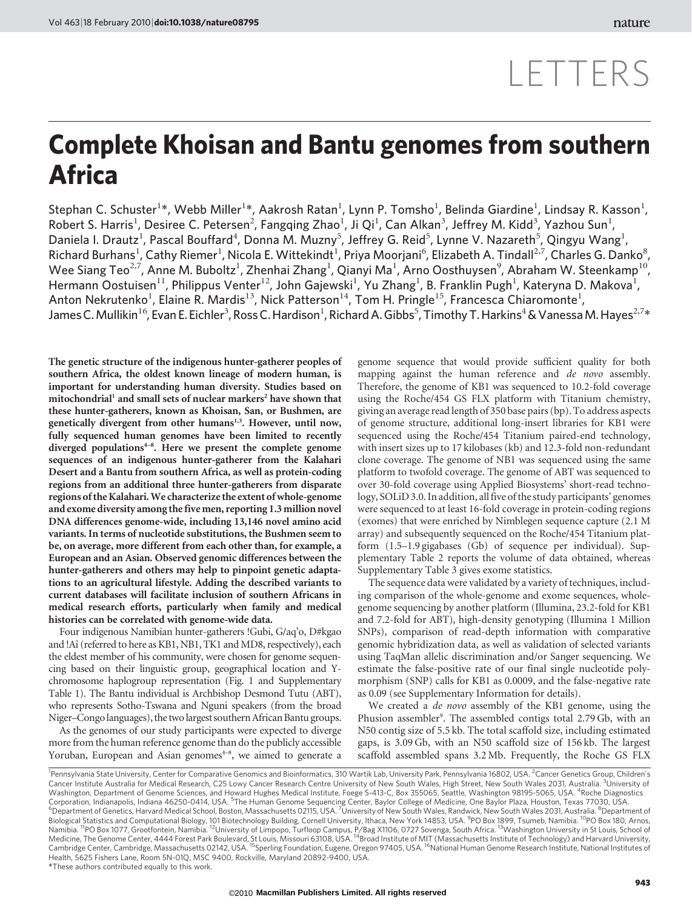## LETTERS

## Complete Khoisan and Bantu genomes from southern Africa

Stephan C. Schuster $^{1*}$ , Webb Miller $^{1*}$ , Aakrosh Ratan $^{1}$ , Lynn P. Tomsho $^{1}$ , Belinda Giardine $^{1}$ , Lindsay R. Kasson $^{1}$ , Robert S. Harris<sup>1</sup>, Desiree C. Petersen<sup>2</sup>, Fangqing Zhao<sup>1</sup>, Ji Qi<sup>1</sup>, Can Alkan<sup>3</sup>, Jeffrey M. Kidd<sup>3</sup>, Yazhou Sun<sup>1</sup>, Daniela I. Drautz<sup>1</sup>, Pascal Bouffard<sup>4</sup>, Donna M. Muzny<sup>5</sup>, Jeffrey G. Reid<sup>5</sup>, Lynne V. Nazareth<sup>5</sup>, Qingyu Wang<sup>1</sup>, Richard Burhans<sup>1</sup>, Cathy Riemer<sup>1</sup>, Nicola E. Wittekindt<sup>1</sup>, Priya Moorjani<sup>6</sup>, Elizabeth A. Tindall<sup>2,7</sup>, Charles G. Danko<sup>8</sup>, Wee Siang Teo<sup>2,7</sup>, Anne M. Buboltz<sup>1</sup>, Zhenhai Zhang<sup>1</sup>, Qianyi Ma<sup>1</sup>, Arno Oosthuysen<sup>9</sup>, Abraham W. Steenkamp<sup>10</sup>, Hermann Oostuisen $^{11}$ , Philippus Venter $^{12}$ , John Gajewski $^{1}$ , Yu Zhang $^{1}$ , B. Franklin Pugh $^{1}$ , Kateryna D. Makova $^{1}$ , Anton Nekrutenko<sup>1</sup>, Elaine R. Mardis<sup>13</sup>, Nick Patterson<sup>14</sup>, Tom H. Pringle<sup>15</sup>, Francesca Chiaromonte<sup>1</sup>, James C. Mullikin<sup>16</sup>, Evan E. Eichler<sup>3</sup>, Ross C. Hardison<sup>1</sup>, Richard A. Gibbs<sup>5</sup>, Timothy T. Harkins<sup>4</sup> & Vanessa M. Hayes<sup>2,7</sup>\*

The genetic structure of the indigenous hunter-gatherer peoples of southern Africa, the oldest known lineage of modern human, is important for understanding human diversity. Studies based on mitochondrial<sup>1</sup> and small sets of nuclear markers<sup>2</sup> have shown that these hunter-gatherers, known as Khoisan, San, or Bushmen, are genetically divergent from other humans<sup>1,3</sup>. However, until now, fully sequenced human genomes have been limited to recently diverged populations<sup>4-8</sup>. Here we present the complete genome sequences of an indigenous hunter-gatherer from the Kalahari Desert and a Bantu from southern Africa, as well as protein-coding regions from an additional three hunter-gatherers from disparate regions of the Kalahari.We characterize the extent ofwhole-genome and exome diversity among the five men, reporting 1.3 million novel DNA differences genome-wide, including 13,146 novel amino acid variants. In terms of nucleotide substitutions, the Bushmen seem to be, on average, more different from each other than, for example, a European and an Asian. Observed genomic differences between the hunter-gatherers and others may help to pinpoint genetic adaptations to an agricultural lifestyle. Adding the described variants to current databases will facilitate inclusion of southern Africans in medical research efforts, particularly when family and medical histories can be correlated with genome-wide data.

Four indigenous Namibian hunter-gatherers !Gubi, G/aq'o, D#kgao and !Aî (referred to here as KB1, NB1, TK1 and MD8, respectively), each the eldest member of his community, were chosen for genome sequencing based on their linguistic group, geographical location and Ychromosome haplogroup representation (Fig. 1 and Supplementary Table 1). The Bantu individual is Archbishop Desmond Tutu (ABT), who represents Sotho-Tswana and Nguni speakers (from the broad Niger–Congo languages), the two largest southern African Bantu groups.

As the genomes of our study participants were expected to diverge more from the human reference genome than do the publicly accessible Yoruban, European and Asian genomes<sup>4-8</sup>, we aimed to generate a

genome sequence that would provide sufficient quality for both mapping against the human reference and de novo assembly. Therefore, the genome of KB1 was sequenced to 10.2-fold coverage using the Roche/454 GS FLX platform with Titanium chemistry, giving an average read length of 350 base pairs (bp). To address aspects of genome structure, additional long-insert libraries for KB1 were sequenced using the Roche/454 Titanium paired-end technology, with insert sizes up to 17 kilobases (kb) and 12.3-fold non-redundant clone coverage. The genome of NB1 was sequenced using the same platform to twofold coverage. The genome of ABT was sequenced to over 30-fold coverage using Applied Biosystems' short-read technology, SOLiD 3.0. In addition, all five of the study participants' genomes were sequenced to at least 16-fold coverage in protein-coding regions (exomes) that were enriched by Nimblegen sequence capture (2.1 M array) and subsequently sequenced on the Roche/454 Titanium platform (1.5–1.9 gigabases (Gb) of sequence per individual). Supplementary Table 2 reports the volume of data obtained, whereas Supplementary Table 3 gives exome statistics.

The sequence data were validated by a variety of techniques, including comparison of the whole-genome and exome sequences, wholegenome sequencing by another platform (Illumina, 23.2-fold for KB1 and 7.2-fold for ABT), high-density genotyping (Illumina 1 Million SNPs), comparison of read-depth information with comparative genomic hybridization data, as well as validation of selected variants using TaqMan allelic discrimination and/or Sanger sequencing. We estimate the false-positive rate of our final single nucleotide polymorphism (SNP) calls for KB1 as 0.0009, and the false-negative rate as 0.09 (see Supplementary Information for details).

We created a *de novo* assembly of the KB1 genome, using the Phusion assembler<sup>9</sup>. The assembled contigs total 2.79 Gb, with an N50 contig size of 5.5 kb. The total scaffold size, including estimated gaps, is 3.09 Gb, with an N50 scaffold size of 156 kb. The largest scaffold assembled spans 3.2 Mb. Frequently, the Roche GS FLX

*<sup>\*</sup>*These authors contributed equally to this work. <sup>1</sup>Pennsylvania State University, Center for Comparative Genomics and Bioinformatics, 310 Wartik Lab, University Park, Pennsylvania 16802, USA. <sup>2</sup>Cancer Genetics Group, Children's Cancer Institute Australia for Medical Research, C25 Lowy Cancer Research Centre University of New South Wales, High Street, New South Wales 2031, Australia. <sup>3</sup>University of Washington, Department of Genome Sciences, and Howard Hughes Medical Institute, Foege S-413-C, Box 355065, Seattle, Washington 98195-5065, USA. <sup>4</sup>Roche Diagnostics Corporation, Indianapolis, Indiana 46250-0414, USA. <sup>5</sup>The Human Genome Sequencing Center, Baylor College of Medicine, One Baylor Plaza, Houston, Texas 77030, USA.<br><sup>6</sup>Department of Genotics, Harvard Medical School, Bestep Department of Genetics, Harvard Medical School, Boston, Massachusetts 02115, USA. <sup>7</sup>University of New South Wales, Randwick, New South Wales 2031, Australia. <sup>8</sup>Department of Biological Statistics and Computational Biology, 101 Biotechnology Building, Cornell University, Ithaca, New York 14853, USA. <sup>9</sup>PO Box 1899, Tsumeb, Namibia. <sup>10</sup>PO Box 180, Arnos,<br>Namibia. <sup>11</sup>PO Box 1077, Grootfontein, Cambridge Center, Cambridge, Massachusetts 02142, USA. <sup>15</sup>Sperling Foundation, Eugene, Oregon 97405, USA. <sup>16</sup>National Human Genome Research Institute, National Institutes of Health, 5625 Fishers Lane, Room 5N-01Q, MSC 9400, Rockville, Maryland 20892-9400, USA.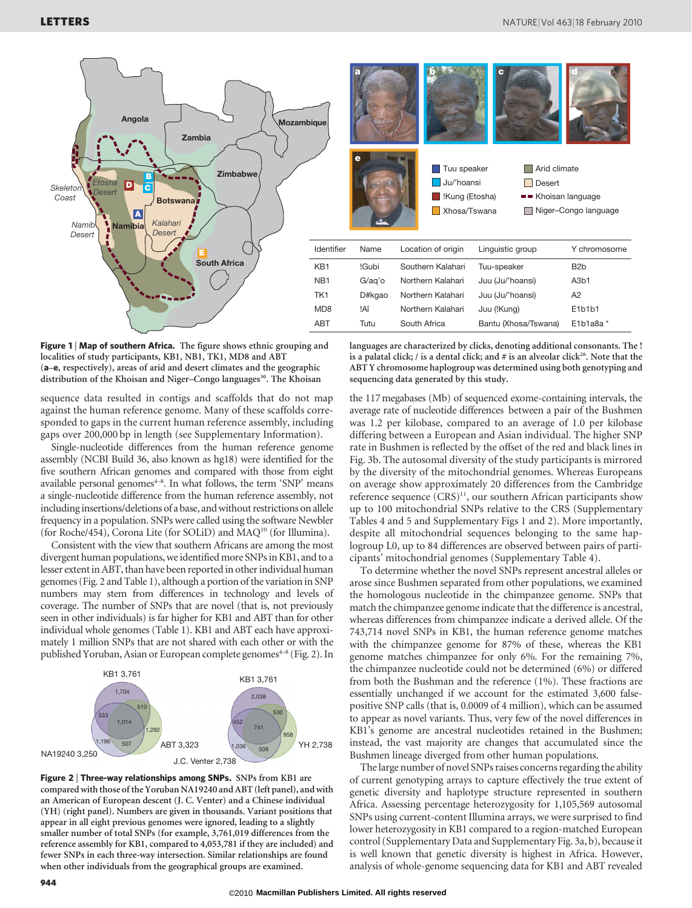



Figure 1 | Map of southern Africa. The figure shows ethnic grouping and localities of study participants, KB1, NB1, TK1, MD8 and ABT (a–e, respectively), areas of arid and desert climates and the geographic distribution of the Khoisan and Niger–Congo languages<sup>30</sup>. The Khoisan

sequence data resulted in contigs and scaffolds that do not map against the human reference genome. Many of these scaffolds corresponded to gaps in the current human reference assembly, including gaps over 200,000 bp in length (see Supplementary Information).

Single-nucleotide differences from the human reference genome assembly (NCBI Build 36, also known as hg18) were identified for the five southern African genomes and compared with those from eight available personal genomes<sup>4-8</sup>. In what follows, the term 'SNP' means a single-nucleotide difference from the human reference assembly, not including insertions/deletions of a base, and without restrictions on allele frequency in a population. SNPs were called using the software Newbler (for Roche/454), Corona Lite (for SOLiD) and MAQ10 (for Illumina).

Consistent with the view that southern Africans are among the most divergent human populations, we identified more SNPs in KB1, and to a lesser extent in ABT, than have been reported in other individual human genomes (Fig. 2 and Table 1), although a portion of the variation in SNP numbers may stem from differences in technology and levels of coverage. The number of SNPs that are novel (that is, not previously seen in other individuals) is far higher for KB1 and ABT than for other individual whole genomes (Table 1). KB1 and ABT each have approximately 1 million SNPs that are not shared with each other or with the published Yoruban, Asian or European complete genomes<sup>4-8</sup> (Fig. 2). In



Figure 2 | Three-way relationships among SNPs. SNPs from KB1 are compared with those of the Yoruban NA19240 and ABT (left panel), and with an American of European descent (J. C. Venter) and a Chinese individual (YH) (right panel). Numbers are given in thousands. Variant positions that appear in all eight previous genomes were ignored, leading to a slightly smaller number of total SNPs (for example, 3,761,019 differences from the reference assembly for KB1, compared to 4,053,781 if they are included) and fewer SNPs in each three-way intersection. Similar relationships are found when other individuals from the geographical groups are examined.

languages are characterized by clicks, denoting additional consonants. The ! is a palatal click;  $\ell$  is a dental click; and  $\#$  is an alveolar click<sup>26</sup>. Note that the ABT Y chromosome haplogroup was determined using both genotyping and sequencing data generated by this study.

the 117 megabases (Mb) of sequenced exome-containing intervals, the average rate of nucleotide differences between a pair of the Bushmen was 1.2 per kilobase, compared to an average of 1.0 per kilobase differing between a European and Asian individual. The higher SNP rate in Bushmen is reflected by the offset of the red and black lines in Fig. 3b. The autosomal diversity of the study participants is mirrored by the diversity of the mitochondrial genomes. Whereas Europeans on average show approximately 20 differences from the Cambridge reference sequence (CRS)<sup>11</sup>, our southern African participants show up to 100 mitochondrial SNPs relative to the CRS (Supplementary Tables 4 and 5 and Supplementary Figs 1 and 2). More importantly, despite all mitochondrial sequences belonging to the same haplogroup L0, up to 84 differences are observed between pairs of participants' mitochondrial genomes (Supplementary Table 4).

To determine whether the novel SNPs represent ancestral alleles or arose since Bushmen separated from other populations, we examined the homologous nucleotide in the chimpanzee genome. SNPs that match the chimpanzee genome indicate that the difference is ancestral, whereas differences from chimpanzee indicate a derived allele. Of the 743,714 novel SNPs in KB1, the human reference genome matches with the chimpanzee genome for 87% of these, whereas the KB1 genome matches chimpanzee for only 6%. For the remaining 7%, the chimpanzee nucleotide could not be determined (6%) or differed from both the Bushman and the reference (1%). These fractions are essentially unchanged if we account for the estimated 3,600 falsepositive SNP calls (that is, 0.0009 of 4 million), which can be assumed to appear as novel variants. Thus, very few of the novel differences in KB1's genome are ancestral nucleotides retained in the Bushmen; instead, the vast majority are changes that accumulated since the Bushmen lineage diverged from other human populations.

The large number of novel SNPs raises concerns regarding the ability of current genotyping arrays to capture effectively the true extent of genetic diversity and haplotype structure represented in southern Africa. Assessing percentage heterozygosity for 1,105,569 autosomal SNPs using current-content Illumina arrays, we were surprised to find lower heterozygosity in KB1 compared to a region-matched European control (Supplementary Data and Supplementary Fig. 3a, b), because it is well known that genetic diversity is highest in Africa. However, analysis of whole-genome sequencing data for KB1 and ABT revealed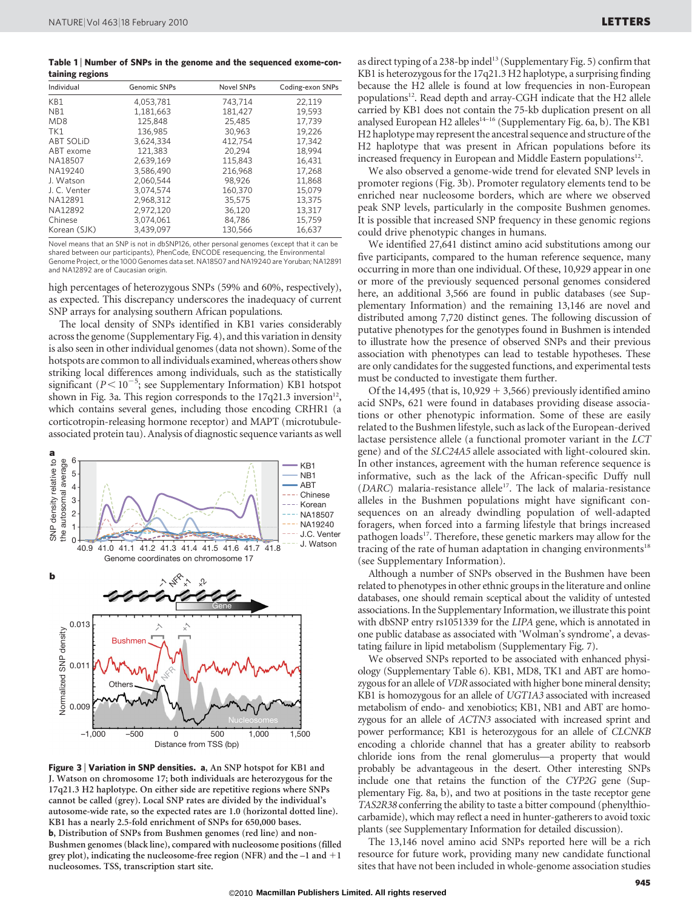Table 1 | Number of SNPs in the genome and the sequenced exome-containing regions

| $\tilde{}$<br>- -<br>Individual | Genomic SNPs | <b>Novel SNPs</b> | Coding-exon SNPs |
|---------------------------------|--------------|-------------------|------------------|
| KB1                             | 4,053,781    | 743,714           | 22,119           |
| NB1                             | 1.181.663    | 181,427           | 19.593           |
| MD <sub>8</sub>                 | 125.848      | 25,485            | 17,739           |
| TK1                             | 136,985      | 30,963            | 19.226           |
| <b>ABT SOLID</b>                | 3.624.334    | 412.754           | 17.342           |
| ABT exome                       | 121.383      | 20.294            | 18,994           |
| NA18507                         | 2.639.169    | 115,843           | 16.431           |
| NA19240                         | 3,586,490    | 216,968           | 17,268           |
| J. Watson                       | 2.060.544    | 98.926            | 11.868           |
| J. C. Venter                    | 3,074,574    | 160,370           | 15.079           |
| NA12891                         | 2,968,312    | 35,575            | 13,375           |
| NA12892                         | 2.972.120    | 36.120            | 13.317           |
| Chinese                         | 3,074,061    | 84,786            | 15,759           |
| Korean (SJK)                    | 3.439.097    | 130,566           | 16,637           |

Novel means that an SNP is not in dbSNP126, other personal genomes (except that it can be shared between our participants), PhenCode, ENCODE resequencing, the Environmental Genome Project, or the 1000 Genomes data set. NA18507 and NA19240 are Yoruban; NA12891 and NA12892 are of Caucasian origin.

high percentages of heterozygous SNPs (59% and 60%, respectively), as expected. This discrepancy underscores the inadequacy of current SNP arrays for analysing southern African populations.

The local density of SNPs identified in KB1 varies considerably across the genome (Supplementary Fig. 4), and this variation in density is also seen in other individual genomes (data not shown). Some of the hotspots are common to all individuals examined, whereas others show striking local differences among individuals, such as the statistically significant ( $P < 10^{-5}$ ; see Supplementary Information) KB1 hotspot shown in Fig. 3a. This region corresponds to the  $17q21.3$  inversion<sup>12</sup>, which contains several genes, including those encoding CRHR1 (a corticotropin-releasing hormone receptor) and MAPT (microtubuleassociated protein tau). Analysis of diagnostic sequence variants as well



Figure 3 | Variation in SNP densities. a, An SNP hotspot for KB1 and J. Watson on chromosome 17; both individuals are heterozygous for the 17q21.3 H2 haplotype. On either side are repetitive regions where SNPs cannot be called (grey). Local SNP rates are divided by the individual's autosome-wide rate, so the expected rates are 1.0 (horizontal dotted line). KB1 has a nearly 2.5-fold enrichment of SNPs for 650,000 bases. b, Distribution of SNPs from Bushmen genomes (red line) and non-Bushmen genomes (black line), compared with nucleosome positions (filled grey plot), indicating the nucleosome-free region (NFR) and the  $-1$  and  $+1$ nucleosomes. TSS, transcription start site.

as direct typing of a 238-bp indel<sup>13</sup> (Supplementary Fig. 5) confirm that KB1 is heterozygous for the 17q21.3 H2 haplotype, a surprising finding because the H2 allele is found at low frequencies in non-European populations<sup>12</sup>. Read depth and array-CGH indicate that the H2 allele carried by KB1 does not contain the 75-kb duplication present on all analysed European H2 alleles<sup>14-16</sup> (Supplementary Fig. 6a, b). The KB1 H2 haplotype may represent the ancestral sequence and structure of the H2 haplotype that was present in African populations before its increased frequency in European and Middle Eastern populations $12$ .

We also observed a genome-wide trend for elevated SNP levels in promoter regions (Fig. 3b). Promoter regulatory elements tend to be enriched near nucleosome borders, which are where we observed peak SNP levels, particularly in the composite Bushmen genomes. It is possible that increased SNP frequency in these genomic regions could drive phenotypic changes in humans.

We identified 27,641 distinct amino acid substitutions among our five participants, compared to the human reference sequence, many occurring in more than one individual. Of these, 10,929 appear in one or more of the previously sequenced personal genomes considered here, an additional 3,566 are found in public databases (see Supplementary Information) and the remaining 13,146 are novel and distributed among 7,720 distinct genes. The following discussion of putative phenotypes for the genotypes found in Bushmen is intended to illustrate how the presence of observed SNPs and their previous association with phenotypes can lead to testable hypotheses. These are only candidates for the suggested functions, and experimental tests must be conducted to investigate them further.

Of the 14,495 (that is,  $10,929 + 3,566$ ) previously identified amino acid SNPs, 621 were found in databases providing disease associations or other phenotypic information. Some of these are easily related to the Bushmen lifestyle, such as lack of the European-derived lactase persistence allele (a functional promoter variant in the LCT gene) and of the SLC24A5 allele associated with light-coloured skin. In other instances, agreement with the human reference sequence is informative, such as the lack of the African-specific Duffy null ( $DARC$ ) malaria-resistance allele<sup>17</sup>. The lack of malaria-resistance alleles in the Bushmen populations might have significant consequences on an already dwindling population of well-adapted foragers, when forced into a farming lifestyle that brings increased pathogen loads<sup>17</sup>. Therefore, these genetic markers may allow for the tracing of the rate of human adaptation in changing environments<sup>18</sup> (see Supplementary Information).

Although a number of SNPs observed in the Bushmen have been related to phenotypes in other ethnic groups in the literature and online databases, one should remain sceptical about the validity of untested associations. In the Supplementary Information, we illustrate this point with dbSNP entry rs1051339 for the LIPA gene, which is annotated in one public database as associated with 'Wolman's syndrome', a devastating failure in lipid metabolism (Supplementary Fig. 7).

We observed SNPs reported to be associated with enhanced physiology (Supplementary Table 6). KB1, MD8, TK1 and ABT are homozygous for an allele of *VDR* associated with higher bone mineral density; KB1 is homozygous for an allele of UGT1A3 associated with increased metabolism of endo- and xenobiotics; KB1, NB1 and ABT are homozygous for an allele of ACTN3 associated with increased sprint and power performance; KB1 is heterozygous for an allele of CLCNKB encoding a chloride channel that has a greater ability to reabsorb chloride ions from the renal glomerulus—a property that would probably be advantageous in the desert. Other interesting SNPs include one that retains the function of the CYP2G gene (Supplementary Fig. 8a, b), and two at positions in the taste receptor gene TAS2R38 conferring the ability to taste a bitter compound (phenylthiocarbamide), which may reflect a need in hunter-gatherers to avoid toxic plants (see Supplementary Information for detailed discussion).

The 13,146 novel amino acid SNPs reported here will be a rich resource for future work, providing many new candidate functional sites that have not been included in whole-genome association studies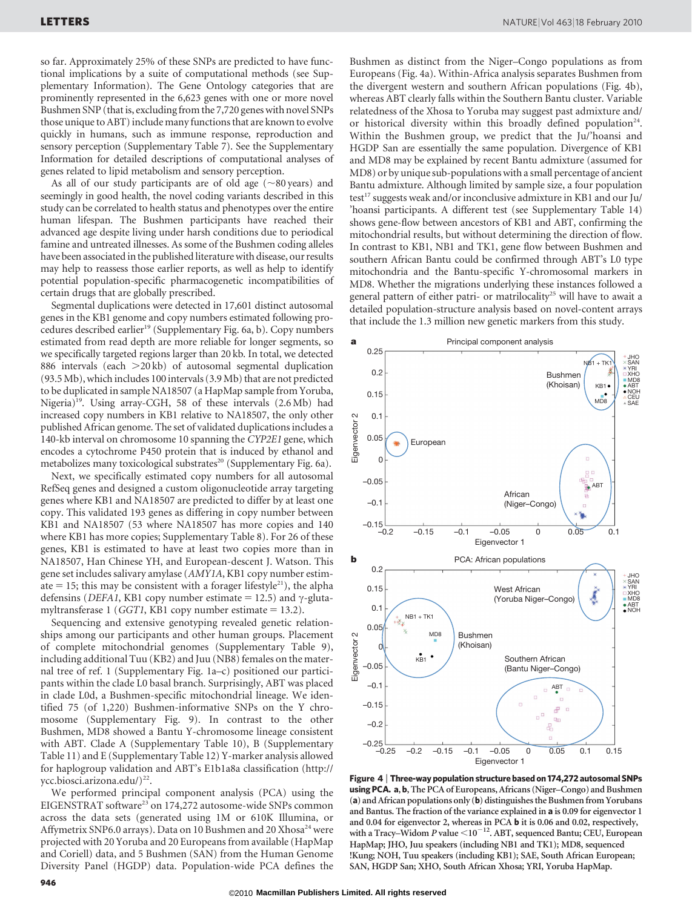so far. Approximately 25% of these SNPs are predicted to have functional implications by a suite of computational methods (see Supplementary Information). The Gene Ontology categories that are prominently represented in the 6,623 genes with one or more novel Bushmen SNP (that is, excluding from the 7,720 genes with novel SNPs those unique to ABT) include many functions that are known to evolve quickly in humans, such as immune response, reproduction and sensory perception (Supplementary Table 7). See the Supplementary Information for detailed descriptions of computational analyses of genes related to lipid metabolism and sensory perception.

As all of our study participants are of old age  $(\sim 80 \,\text{years})$  and seemingly in good health, the novel coding variants described in this study can be correlated to health status and phenotypes over the entire human lifespan. The Bushmen participants have reached their advanced age despite living under harsh conditions due to periodical famine and untreated illnesses. As some of the Bushmen coding alleles have been associated in the published literature with disease, our results may help to reassess those earlier reports, as well as help to identify potential population-specific pharmacogenetic incompatibilities of certain drugs that are globally prescribed.

Segmental duplications were detected in 17,601 distinct autosomal genes in the KB1 genome and copy numbers estimated following procedures described earlier<sup>19</sup> (Supplementary Fig. 6a, b). Copy numbers estimated from read depth are more reliable for longer segments, so we specifically targeted regions larger than 20 kb. In total, we detected 886 intervals (each  $>20$  kb) of autosomal segmental duplication (93.5 Mb), which includes 100 intervals (3.9 Mb) that are not predicted to be duplicated in sample NA18507 (a HapMap sample from Yoruba, Nigeria)<sup>19</sup>. Using array-CGH, 58 of these intervals  $(2.6 \text{ Mb})$  had increased copy numbers in KB1 relative to NA18507, the only other published African genome. The set of validated duplications includes a 140-kb interval on chromosome 10 spanning the CYP2E1 gene, which encodes a cytochrome P450 protein that is induced by ethanol and metabolizes many toxicological substrates<sup>20</sup> (Supplementary Fig. 6a).

Next, we specifically estimated copy numbers for all autosomal RefSeq genes and designed a custom oligonucleotide array targeting genes where KB1 and NA18507 are predicted to differ by at least one copy. This validated 193 genes as differing in copy number between KB1 and NA18507 (53 where NA18507 has more copies and 140 where KB1 has more copies; Supplementary Table 8). For 26 of these genes, KB1 is estimated to have at least two copies more than in NA18507, Han Chinese YH, and European-descent J. Watson. This gene set includes salivary amylase (AMY1A, KB1 copy number estimate  $= 15$ ; this may be consistent with a forager lifestyle<sup>21</sup>), the alpha defensins (*DEFA1*, KB1 copy number estimate = 12.5) and  $\gamma$ -glutamyltransferase 1 (GGT1, KB1 copy number estimate  $= 13.2$ ).

Sequencing and extensive genotyping revealed genetic relationships among our participants and other human groups. Placement of complete mitochondrial genomes (Supplementary Table 9), including additional Tuu (KB2) and Juu (NB8) females on the maternal tree of ref. 1 (Supplementary Fig. 1a–c) positioned our participants within the clade L0 basal branch. Surprisingly, ABT was placed in clade L0d, a Bushmen-specific mitochondrial lineage. We identified 75 (of 1,220) Bushmen-informative SNPs on the Y chromosome (Supplementary Fig. 9). In contrast to the other Bushmen, MD8 showed a Bantu Y-chromosome lineage consistent with ABT. Clade A (Supplementary Table 10), B (Supplementary Table 11) and E (Supplementary Table 12) Y-marker analysis allowed for haplogroup validation and ABT's E1b1a8a classification [\(http://](http://ycc.biosci.arizona.edu) [ycc.biosci.arizona.edu/\)](http://ycc.biosci.arizona.edu)<sup>22</sup>.

We performed principal component analysis (PCA) using the EIGENSTRAT software<sup>23</sup> on 174,272 autosome-wide SNPs common across the data sets (generated using 1M or 610K Illumina, or Affymetrix SNP6.0 arrays). Data on 10 Bushmen and 20 Xhosa<sup>24</sup> were projected with 20 Yoruba and 20 Europeans from available (HapMap and Coriell) data, and 5 Bushmen (SAN) from the Human Genome Diversity Panel (HGDP) data. Population-wide PCA defines the

Bushmen as distinct from the Niger–Congo populations as from Europeans (Fig. 4a). Within-Africa analysis separates Bushmen from the divergent western and southern African populations (Fig. 4b), whereas ABT clearly falls within the Southern Bantu cluster. Variable relatedness of the Xhosa to Yoruba may suggest past admixture and/ or historical diversity within this broadly defined population<sup>24</sup>. Within the Bushmen group, we predict that the Ju/'hoansi and HGDP San are essentially the same population. Divergence of KB1 and MD8 may be explained by recent Bantu admixture (assumed for MD8) or by unique sub-populations with a small percentage of ancient Bantu admixture. Although limited by sample size, a four population test<sup>17</sup> suggests weak and/or inconclusive admixture in KB1 and our Ju/ 'hoansi participants. A different test (see Supplementary Table 14) shows gene-flow between ancestors of KB1 and ABT, confirming the mitochondrial results, but without determining the direction of flow. In contrast to KB1, NB1 and TK1, gene flow between Bushmen and southern African Bantu could be confirmed through ABT's L0 type mitochondria and the Bantu-specific Y-chromosomal markers in MD8. Whether the migrations underlying these instances followed a general pattern of either patri- or matrilocality<sup>25</sup> will have to await a detailed population-structure analysis based on novel-content arrays that include the 1.3 million new genetic markers from this study.



Figure 4 <sup>|</sup> Three-way population structure based on 174,272 autosomal SNPs using PCA. a, b, The PCA of Europeans, Africans (Niger–Congo) and Bushmen (a) and African populations only (b) distinguishes the Bushmen from Yorubans and Bantus. The fraction of the variance explained in a is 0.09 for eigenvector 1 and 0.04 for eigenvector 2, whereas in PCA b it is 0.06 and 0.02, respectively, with a Tracy–Widom *P* value <10<sup>-12</sup>. ABT, sequenced Bantu; CEU, European HapMap; JHO, Juu speakers (including NB1 and TK1); MD8, sequenced !Kung; NOH, Tuu speakers (including KB1); SAE, South African European; SAN, HGDP San; XHO, South African Xhosa; YRI, Yoruba HapMap.